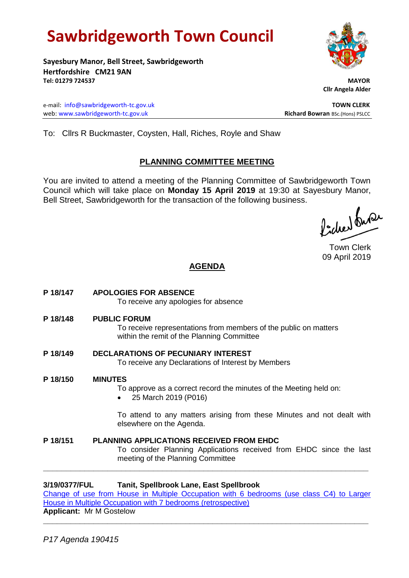# **Sawbridgeworth Town Council**

**Sayesbury Manor, Bell Street, Sawbridgeworth Hertfordshire CM21 9AN Tel: 01279 724537 MAYOR**

e-mail: [info@sawbridgeworth-tc.gov.uk](mailto:info@sawbridgeworth-tc.gov.uk) **TOWN CLERK** web: www.sawbridgeworth-tc.gov.uk<br> **Richard Bowran** BSc.(Hons) PSLCC

 **Cllr Angela Alder**

To: Cllrs R Buckmaster, Coysten, Hall, Riches, Royle and Shaw

### **PLANNING COMMITTEE MEETING**

You are invited to attend a meeting of the Planning Committee of Sawbridgeworth Town Council which will take place on **Monday 15 April 2019** at 19:30 at Sayesbury Manor, Bell Street, Sawbridgeworth for the transaction of the following business.

Picked fuse

Town Clerk 09 April 2019

## **AGENDA**

- **P 18/147 APOLOGIES FOR ABSENCE** To receive any apologies for absence
- **P 18/148 PUBLIC FORUM**

To receive representations from members of the public on matters within the remit of the Planning Committee

- **P 18/149 DECLARATIONS OF PECUNIARY INTEREST** To receive any Declarations of Interest by Members
- **P 18/150 MINUTES**

To approve as a correct record the minutes of the Meeting held on:

• 25 March 2019 (P016)

To attend to any matters arising from these Minutes and not dealt with elsewhere on the Agenda.

**P 18/151 PLANNING APPLICATIONS RECEIVED FROM EHDC** To consider Planning Applications received from EHDC since the last meeting of the Planning Committee **\_\_\_\_\_\_\_\_\_\_\_\_\_\_\_\_\_\_\_\_\_\_\_\_\_\_\_\_\_\_\_\_\_\_\_\_\_\_\_\_\_\_\_\_\_\_\_\_\_\_\_\_\_\_\_\_\_\_\_\_\_\_\_\_\_\_\_\_\_\_\_**

#### **3/19/0377/FUL Tanit, Spellbrook Lane, East Spellbrook**

[Change of use from House in Multiple Occupation with 6 bedrooms \(use class C4\) to Larger](https://publicaccess.eastherts.gov.uk/online-applications/applicationDetails.do?activeTab=documents&keyVal=PN7SXFGLI4M00)  [House in Multiple Occupation with 7 bedrooms \(retrospective\)](https://publicaccess.eastherts.gov.uk/online-applications/applicationDetails.do?activeTab=documents&keyVal=PN7SXFGLI4M00)

**\_\_\_\_\_\_\_\_\_\_\_\_\_\_\_\_\_\_\_\_\_\_\_\_\_\_\_\_\_\_\_\_\_\_\_\_\_\_\_\_\_\_\_\_\_\_\_\_\_\_\_\_\_\_\_\_\_\_\_\_\_\_\_\_\_\_\_\_\_\_\_**

**Applicant:** Mr M Gostelow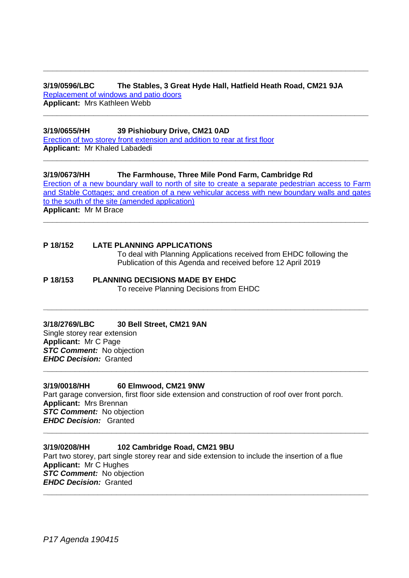#### **3/19/0596/LBC The Stables, 3 Great Hyde Hall, Hatfield Heath Road, CM21 9JA** [Replacement of windows and patio doors](https://publicaccess.eastherts.gov.uk/online-applications/applicationDetails.do?activeTab=documents&keyVal=POKHNVGL00X00) **Applicant:** Mrs Kathleen Webb

**\_\_\_\_\_\_\_\_\_\_\_\_\_\_\_\_\_\_\_\_\_\_\_\_\_\_\_\_\_\_\_\_\_\_\_\_\_\_\_\_\_\_\_\_\_\_\_\_\_\_\_\_\_\_\_\_\_\_\_\_\_\_\_\_\_\_\_\_\_\_\_**

**\_\_\_\_\_\_\_\_\_\_\_\_\_\_\_\_\_\_\_\_\_\_\_\_\_\_\_\_\_\_\_\_\_\_\_\_\_\_\_\_\_\_\_\_\_\_\_\_\_\_\_\_\_\_\_\_\_\_\_\_\_\_\_\_\_\_\_\_\_\_\_**

**3/19/0655/HH 39 Pishiobury Drive, CM21 0AD** [Erection of two storey front extension and addition to rear at first floor](https://publicaccess.eastherts.gov.uk/online-applications/applicationDetails.do?activeTab=documents&keyVal=PP0MANGLINF00) **Applicant:** Mr Khaled Labadedi

**3/19/0673/HH The Farmhouse, Three Mile Pond Farm, Cambridge Rd** [Erection of a new boundary wall to north of site to create a separate pedestrian access to Farm](https://publicaccess.eastherts.gov.uk/online-applications/applicationDetails.do?activeTab=documents&keyVal=PP4BNUGLIOS00)  [and Stable Cottages; and creation of a new vehicular access with new boundary walls and gates](https://publicaccess.eastherts.gov.uk/online-applications/applicationDetails.do?activeTab=documents&keyVal=PP4BNUGLIOS00)  [to the south of the site \(amended application\)](https://publicaccess.eastherts.gov.uk/online-applications/applicationDetails.do?activeTab=documents&keyVal=PP4BNUGLIOS00) **Applicant:** Mr M Brace

**\_\_\_\_\_\_\_\_\_\_\_\_\_\_\_\_\_\_\_\_\_\_\_\_\_\_\_\_\_\_\_\_\_\_\_\_\_\_\_\_\_\_\_\_\_\_\_\_\_\_\_\_\_\_\_\_\_\_\_\_\_\_\_\_\_\_\_\_\_\_\_**

**\_\_\_\_\_\_\_\_\_\_\_\_\_\_\_\_\_\_\_\_\_\_\_\_\_\_\_\_\_\_\_\_\_\_\_\_\_\_\_\_\_\_\_\_\_\_\_\_\_\_\_\_\_\_\_\_\_\_\_\_\_\_\_\_\_\_\_\_\_\_\_**

**\_\_\_\_\_\_\_\_\_\_\_\_\_\_\_\_\_\_\_\_\_\_\_\_\_\_\_\_\_\_\_\_\_\_\_\_\_\_\_\_\_\_\_\_\_\_\_\_\_\_\_\_\_\_\_\_\_\_\_\_\_\_\_\_\_\_\_\_\_\_\_**

**\_\_\_\_\_\_\_\_\_\_\_\_\_\_\_\_\_\_\_\_\_\_\_\_\_\_\_\_\_\_\_\_\_\_\_\_\_\_\_\_\_\_\_\_\_\_\_\_\_\_\_\_\_\_\_\_\_\_\_\_\_\_\_\_\_\_\_\_\_\_\_**

#### **P 18/152 LATE PLANNING APPLICATIONS**

To deal with Planning Applications received from EHDC following the Publication of this Agenda and received before 12 April 2019

#### **P 18/153 PLANNING DECISIONS MADE BY EHDC** To receive Planning Decisions from EHDC

#### **3/18/2769/LBC 30 Bell Street, CM21 9AN**

Single storey rear extension **Applicant:** Mr C Page *STC Comment:* No objection *EHDC Decision:* Granted

#### **3/19/0018/HH 60 Elmwood, CM21 9NW**

Part garage conversion, first floor side extension and construction of roof over front porch. **Applicant:** Mrs Brennan *STC Comment:* No objection *EHDC Decision:* Granted **\_\_\_\_\_\_\_\_\_\_\_\_\_\_\_\_\_\_\_\_\_\_\_\_\_\_\_\_\_\_\_\_\_\_\_\_\_\_\_\_\_\_\_\_\_\_\_\_\_\_\_\_\_\_\_\_\_\_\_\_\_\_\_\_\_\_\_\_\_\_\_**

#### **3/19/0208/HH 102 Cambridge Road, CM21 9BU**

Part two storey, part single storey rear and side extension to include the insertion of a flue **Applicant:** Mr C Hughes *STC Comment:* No objection *EHDC Decision:* Granted **\_\_\_\_\_\_\_\_\_\_\_\_\_\_\_\_\_\_\_\_\_\_\_\_\_\_\_\_\_\_\_\_\_\_\_\_\_\_\_\_\_\_\_\_\_\_\_\_\_\_\_\_\_\_\_\_\_\_\_\_\_\_\_\_\_\_\_\_\_\_\_**